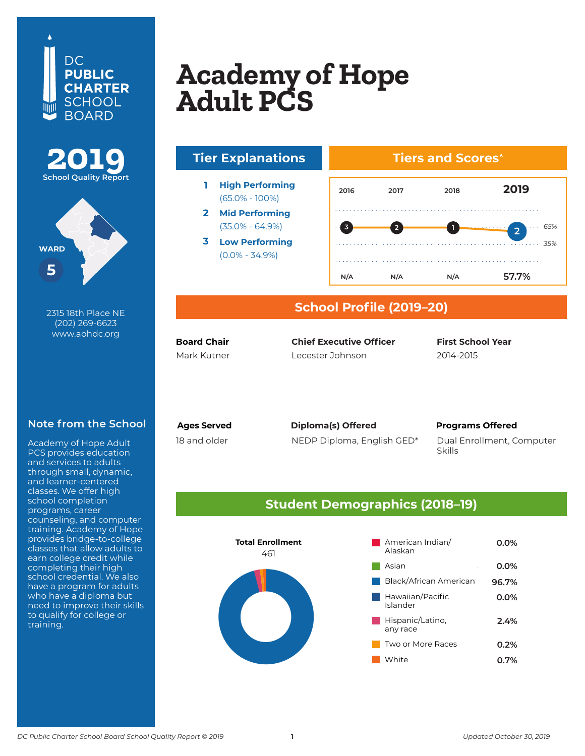





2315 18th Place NE (202) 269-6623 www.aohdc.org

### **Note from the School**

Academy of Hope Adult PCS provides education and services to adults through small, dynamic, and learner-centered classes. We offer high school completion programs, career counseling, and computer training. Academy of Hope provides bridge-to-college classes that allow adults to earn college credit while completing their high school credential. We also have a program for adults who have a diploma but need to improve their skills to qualify for college or training.

# **BASIS DC PCS (High School) Academy of Hope Adult PCS**



(65.0% - 100%)

**2 Mid Performing** (35.0% - 64.9%)

**3 Low Performing** (0.0% - 34.9%)

### **Tiers and Scores^**



### **School Profile (2019–20)**

**Board Chair**

Mark Kutner Lecester Johnson 2014-2015 **Chief Executive Officer** 

**First School Year**

18 and older

**Ages Served Programs Offered Diploma(s) Offered**

NEDP Diploma, English GED\* Dual Enrollment, Computer Skills

### **Student Demographics (2018–19)**